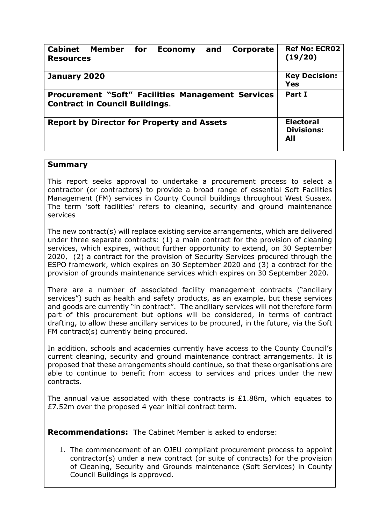| <b>Cabinet Member</b><br>for f<br>Corporate<br>and<br><b>Economy</b><br><b>Resources</b>          | <b>Ref No: ECR02</b><br>(19/20)              |
|---------------------------------------------------------------------------------------------------|----------------------------------------------|
| January 2020                                                                                      | <b>Key Decision:</b><br><b>Yes</b>           |
| <b>Procurement "Soft" Facilities Management Services</b><br><b>Contract in Council Buildings.</b> | Part I                                       |
| <b>Report by Director for Property and Assets</b>                                                 | <b>Electoral</b><br><b>Divisions:</b><br>All |

## **Summary**

This report seeks approval to undertake a procurement process to select a contractor (or contractors) to provide a broad range of essential Soft Facilities Management (FM) services in County Council buildings throughout West Sussex. The term 'soft facilities' refers to cleaning, security and ground maintenance services

The new contract(s) will replace existing service arrangements, which are delivered under three separate contracts: (1) a main contract for the provision of cleaning services, which expires, without further opportunity to extend, on 30 September 2020, (2) a contract for the provision of Security Services procured through the ESPO framework, which expires on 30 September 2020 and (3) a contract for the provision of grounds maintenance services which expires on 30 September 2020.

There are a number of associated facility management contracts ("ancillary services") such as health and safety products, as an example, but these services and goods are currently "in contract". The ancillary services will not therefore form part of this procurement but options will be considered, in terms of contract drafting, to allow these ancillary services to be procured, in the future, via the Soft FM contract(s) currently being procured.

In addition, schools and academies currently have access to the County Council's current cleaning, security and ground maintenance contract arrangements. It is proposed that these arrangements should continue, so that these organisations are able to continue to benefit from access to services and prices under the new contracts.

The annual value associated with these contracts is £1.88m, which equates to £7.52m over the proposed 4 year initial contract term.

**Recommendations:** The Cabinet Member is asked to endorse:

1. The commencement of an OJEU compliant procurement process to appoint contractor(s) under a new contract (or suite of contracts) for the provision of Cleaning, Security and Grounds maintenance (Soft Services) in County Council Buildings is approved.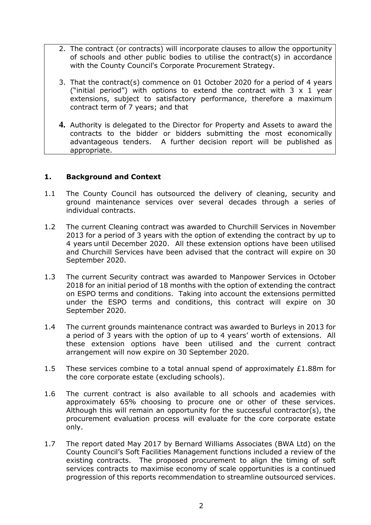- 2. The contract (or contracts) will incorporate clauses to allow the opportunity of schools and other public bodies to utilise the contract(s) in accordance with the County Council's Corporate Procurement Strategy.
- 3. That the contract(s) commence on 01 October 2020 for a period of 4 years ("initial period") with options to extend the contract with  $3 \times 1$  year extensions, subject to satisfactory performance, therefore a maximum contract term of 7 years; and that
- **4.** Authority is delegated to the Director for Property and Assets to award the contracts to the bidder or bidders submitting the most economically advantageous tenders. A further decision report will be published as appropriate.

## **1. Background and Context**

- 1.1 The County Council has outsourced the delivery of cleaning, security and ground maintenance services over several decades through a series of individual contracts.
- 1.2 The current Cleaning contract was awarded to Churchill Services in November 2013 for a period of 3 years with the option of extending the contract by up to 4 years until December 2020. All these extension options have been utilised and Churchill Services have been advised that the contract will expire on 30 September 2020.
- 1.3 The current Security contract was awarded to Manpower Services in October 2018 for an initial period of 18 months with the option of extending the contract on ESPO terms and conditions. Taking into account the extensions permitted under the ESPO terms and conditions, this contract will expire on 30 September 2020.
- 1.4 The current grounds maintenance contract was awarded to Burleys in 2013 for a period of 3 years with the option of up to 4 years' worth of extensions. All these extension options have been utilised and the current contract arrangement will now expire on 30 September 2020.
- 1.5 These services combine to a total annual spend of approximately £1.88m for the core corporate estate (excluding schools).
- 1.6 The current contract is also available to all schools and academies with approximately 65% choosing to procure one or other of these services. Although this will remain an opportunity for the successful contractor(s), the procurement evaluation process will evaluate for the core corporate estate only.
- 1.7 The report dated May 2017 by Bernard Williams Associates (BWA Ltd) on the County Council's Soft Facilities Management functions included a review of the existing contracts. The proposed procurement to align the timing of soft services contracts to maximise economy of scale opportunities is a continued progression of this reports recommendation to streamline outsourced services.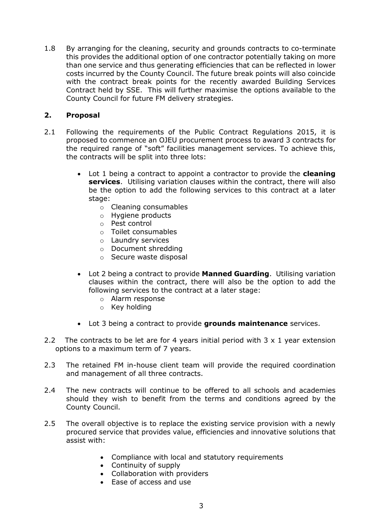1.8 By arranging for the cleaning, security and grounds contracts to co-terminate this provides the additional option of one contractor potentially taking on more than one service and thus generating efficiencies that can be reflected in lower costs incurred by the County Council. The future break points will also coincide with the contract break points for the recently awarded Building Services Contract held by SSE. This will further maximise the options available to the County Council for future FM delivery strategies.

## **2. Proposal**

- 2.1 Following the requirements of the Public Contract Regulations 2015, it is proposed to commence an OJEU procurement process to award 3 contracts for the required range of "soft" facilities management services. To achieve this, the contracts will be split into three lots:
	- Lot 1 being a contract to appoint a contractor to provide the **cleaning services**. Utilising variation clauses within the contract, there will also be the option to add the following services to this contract at a later stage:
		- o Cleaning consumables
		- o Hygiene products
		- o Pest control
		- o Toilet consumables
		- o Laundry services
		- o Document shredding
		- o Secure waste disposal
	- Lot 2 being a contract to provide **Manned Guarding**. Utilising variation clauses within the contract, there will also be the option to add the following services to the contract at a later stage:
		- o Alarm response
		- o Key holding
	- Lot 3 being a contract to provide **grounds maintenance** services.
- 2.2 The contracts to be let are for 4 years initial period with 3 x 1 year extension options to a maximum term of 7 years.
- 2.3 The retained FM in-house client team will provide the required coordination and management of all three contracts.
- 2.4 The new contracts will continue to be offered to all schools and academies should they wish to benefit from the terms and conditions agreed by the County Council.
- 2.5 The overall objective is to replace the existing service provision with a newly procured service that provides value, efficiencies and innovative solutions that assist with:
	- Compliance with local and statutory requirements
	- Continuity of supply
	- Collaboration with providers
	- Ease of access and use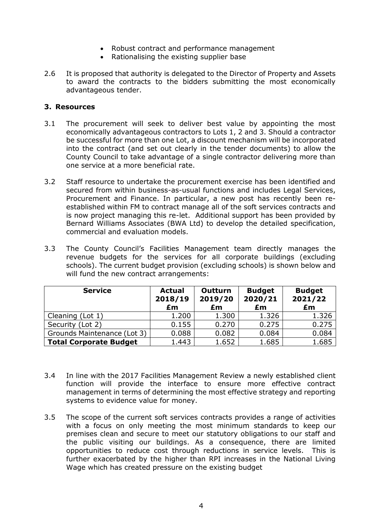- Robust contract and performance management
- Rationalising the existing supplier base
- 2.6 It is proposed that authority is delegated to the Director of Property and Assets to award the contracts to the bidders submitting the most economically advantageous tender.

### **3. Resources**

- 3.1 The procurement will seek to deliver best value by appointing the most economically advantageous contractors to Lots 1, 2 and 3. Should a contractor be successful for more than one Lot, a discount mechanism will be incorporated into the contract (and set out clearly in the tender documents) to allow the County Council to take advantage of a single contractor delivering more than one service at a more beneficial rate.
- 3.2 Staff resource to undertake the procurement exercise has been identified and secured from within business-as-usual functions and includes Legal Services, Procurement and Finance. In particular, a new post has recently been reestablished within FM to contract manage all of the soft services contracts and is now project managing this re-let. Additional support has been provided by Bernard Williams Associates (BWA Ltd) to develop the detailed specification, commercial and evaluation models.
- 3.3 The County Council's Facilities Management team directly manages the revenue budgets for the services for all corporate buildings (excluding schools). The current budget provision (excluding schools) is shown below and will fund the new contract arrangements:

| <b>Service</b>                | <b>Actual</b><br>2018/19<br>£m | <b>Outturn</b><br>2019/20<br>£m | <b>Budget</b><br>2020/21<br>£m | <b>Budget</b><br>2021/22<br>£m |
|-------------------------------|--------------------------------|---------------------------------|--------------------------------|--------------------------------|
| Cleaning (Lot 1)              | 1.200                          | 1.300                           | 1.326                          | 1.326                          |
| Security (Lot 2)              | 0.155                          | 0.270                           | 0.275                          | 0.275                          |
| Grounds Maintenance (Lot 3)   | 0.088                          | 0.082                           | 0.084                          | 0.084                          |
| <b>Total Corporate Budget</b> | 1.443                          | 1.652                           | 1.685                          | 1.685                          |

- 3.4 In line with the 2017 Facilities Management Review a newly established client function will provide the interface to ensure more effective contract management in terms of determining the most effective strategy and reporting systems to evidence value for money.
- 3.5 The scope of the current soft services contracts provides a range of activities with a focus on only meeting the most minimum standards to keep our premises clean and secure to meet our statutory obligations to our staff and the public visiting our buildings. As a consequence, there are limited opportunities to reduce cost through reductions in service levels. This is further exacerbated by the higher than RPI increases in the National Living Wage which has created pressure on the existing budget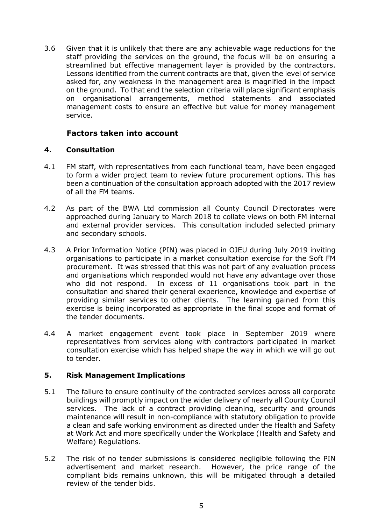3.6 Given that it is unlikely that there are any achievable wage reductions for the staff providing the services on the ground, the focus will be on ensuring a streamlined but effective management layer is provided by the contractors. Lessons identified from the current contracts are that, given the level of service asked for, any weakness in the management area is magnified in the impact on the ground. To that end the selection criteria will place significant emphasis on organisational arrangements, method statements and associated management costs to ensure an effective but value for money management service.

## **Factors taken into account**

#### **4. Consultation**

- 4.1 FM staff, with representatives from each functional team, have been engaged to form a wider project team to review future procurement options. This has been a continuation of the consultation approach adopted with the 2017 review of all the FM teams.
- 4.2 As part of the BWA Ltd commission all County Council Directorates were approached during January to March 2018 to collate views on both FM internal and external provider services. This consultation included selected primary and secondary schools.
- 4.3 A Prior Information Notice (PIN) was placed in OJEU during July 2019 inviting organisations to participate in a market consultation exercise for the Soft FM procurement. It was stressed that this was not part of any evaluation process and organisations which responded would not have any advantage over those who did not respond. In excess of 11 organisations took part in the consultation and shared their general experience, knowledge and expertise of providing similar services to other clients. The learning gained from this exercise is being incorporated as appropriate in the final scope and format of the tender documents.
- 4.4 A market engagement event took place in September 2019 where representatives from services along with contractors participated in market consultation exercise which has helped shape the way in which we will go out to tender.

### **5. Risk Management Implications**

- 5.1 The failure to ensure continuity of the contracted services across all corporate buildings will promptly impact on the wider delivery of nearly all County Council services. The lack of a contract providing cleaning, security and grounds maintenance will result in non-compliance with statutory obligation to provide a clean and safe working environment as directed under the Health and Safety at Work Act and more specifically under the Workplace (Health and Safety and Welfare) Regulations.
- 5.2 The risk of no tender submissions is considered negligible following the PIN advertisement and market research. However, the price range of the compliant bids remains unknown, this will be mitigated through a detailed review of the tender bids.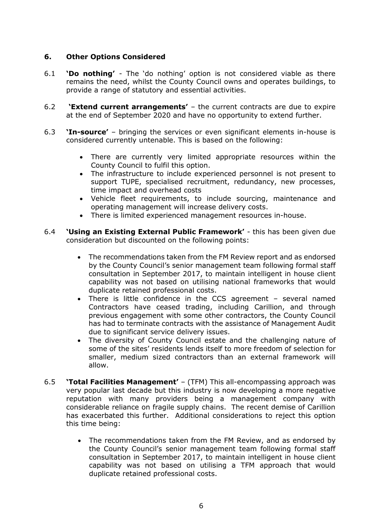# **6. Other Options Considered**

- 6.1 **'Do nothing'** The 'do nothing' option is not considered viable as there remains the need, whilst the County Council owns and operates buildings, to provide a range of statutory and essential activities.
- 6.2 **'Extend current arrangements'** the current contracts are due to expire at the end of September 2020 and have no opportunity to extend further.
- 6.3 **'In-source'** bringing the services or even significant elements in-house is considered currently untenable. This is based on the following:
	- There are currently very limited appropriate resources within the County Council to fulfil this option.
	- The infrastructure to include experienced personnel is not present to support TUPE, specialised recruitment, redundancy, new processes, time impact and overhead costs
	- Vehicle fleet requirements, to include sourcing, maintenance and operating management will increase delivery costs.
	- There is limited experienced management resources in-house.
- 6.4 **'Using an Existing External Public Framework'** this has been given due consideration but discounted on the following points:
	- The recommendations taken from the FM Review report and as endorsed by the County Council's senior management team following formal staff consultation in September 2017, to maintain intelligent in house client capability was not based on utilising national frameworks that would duplicate retained professional costs.
	- There is little confidence in the CCS agreement several named Contractors have ceased trading, including Carillion, and through previous engagement with some other contractors, the County Council has had to terminate contracts with the assistance of Management Audit due to significant service delivery issues.
	- The diversity of County Council estate and the challenging nature of some of the sites' residents lends itself to more freedom of selection for smaller, medium sized contractors than an external framework will allow.
- 6.5 **'Total Facilities Management'** (TFM) This all-encompassing approach was very popular last decade but this industry is now developing a more negative reputation with many providers being a management company with considerable reliance on fragile supply chains. The recent demise of Carillion has exacerbated this further. Additional considerations to reject this option this time being:
	- The recommendations taken from the FM Review, and as endorsed by the County Council's senior management team following formal staff consultation in September 2017, to maintain intelligent in house client capability was not based on utilising a TFM approach that would duplicate retained professional costs.